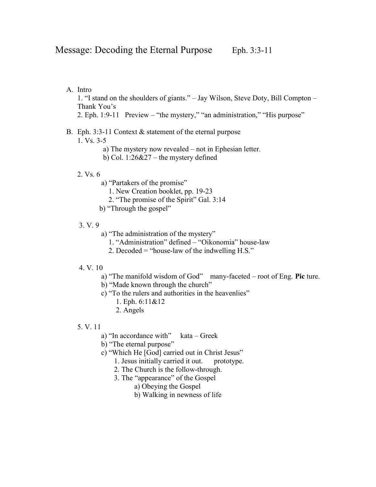A. Intro

1. "I stand on the shoulders of giants." – Jay Wilson, Steve Doty, Bill Compton – Thank You's

2. Eph. 1:9-11 Preview – "the mystery," "an administration," "His purpose"

## B. Eph. 3:3-11 Context & statement of the eternal purpose

1. Vs. 3-5

- a) The mystery now revealed not in Ephesian letter.
- b) Col. 1:26&27 the mystery defined

### 2. Vs. 6

- a) "Partakers of the promise"
	- 1. New Creation booklet, pp. 19-23
	- 2. "The promise of the Spirit" Gal. 3:14
- b) "Through the gospel"

### 3. V. 9

- a) "The administration of the mystery"
	- 1. "Administration" defined "Oikonomia" house-law
	- 2. Decoded = "house-law of the indwelling H.S."

### 4. V. 10

- a) "The manifold wisdom of God" many-faceted root of Eng. Pic ture.
- b) "Made known through the church"
- c) "To the rulers and authorities in the heavenlies"
	- 1. Eph. 6:11&12
	- 2. Angels
- 5. V. 11
	- a) "In accordance with" kata Greek
	- b) "The eternal purpose"
	- c) "Which He [God] carried out in Christ Jesus"
		- 1. Jesus initially carried it out. prototype.
		- 2. The Church is the follow-through.
		- 3. The "appearance" of the Gospel
			- a) Obeying the Gospel
			- b) Walking in newness of life